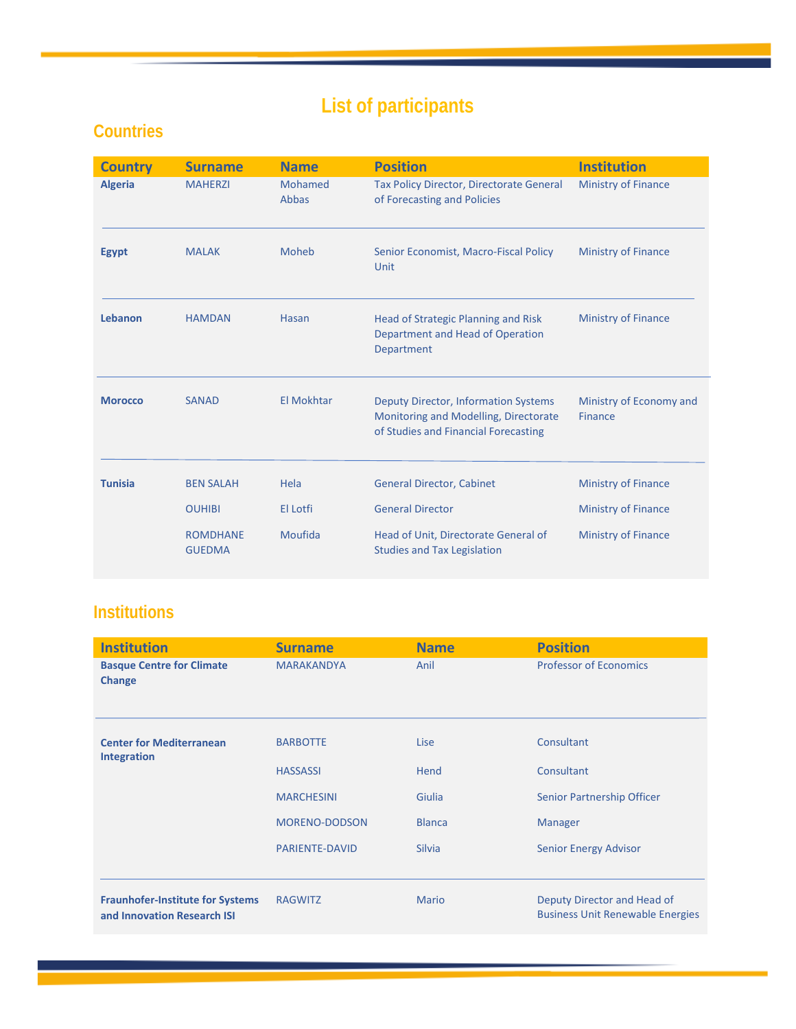## **List of participants**

## **Countries**

| <b>Country</b> | <b>Surname</b>                   | <b>Name</b>      | <b>Position</b>                                                                                                              | <b>Institution</b>                        |
|----------------|----------------------------------|------------------|------------------------------------------------------------------------------------------------------------------------------|-------------------------------------------|
| <b>Algeria</b> | <b>MAHERZI</b>                   | Mohamed<br>Abbas | Tax Policy Director, Directorate General<br>of Forecasting and Policies                                                      | Ministry of Finance                       |
| <b>Egypt</b>   | <b>MALAK</b>                     | <b>Moheb</b>     | Senior Economist, Macro-Fiscal Policy<br>Unit                                                                                | <b>Ministry of Finance</b>                |
| Lebanon        | <b>HAMDAN</b>                    | Hasan            | Head of Strategic Planning and Risk<br>Department and Head of Operation<br>Department                                        | <b>Ministry of Finance</b>                |
| <b>Morocco</b> | <b>SANAD</b>                     | El Mokhtar       | <b>Deputy Director, Information Systems</b><br>Monitoring and Modelling, Directorate<br>of Studies and Financial Forecasting | Ministry of Economy and<br><b>Finance</b> |
| <b>Tunisia</b> | <b>BEN SALAH</b>                 | Hela             | <b>General Director, Cabinet</b>                                                                                             | <b>Ministry of Finance</b>                |
|                | <b>OUHIBI</b>                    | El Lotfi         | <b>General Director</b>                                                                                                      | <b>Ministry of Finance</b>                |
|                | <b>ROMDHANE</b><br><b>GUEDMA</b> | Moufida          | Head of Unit, Directorate General of<br><b>Studies and Tax Legislation</b>                                                   | <b>Ministry of Finance</b>                |

## **Institutions**

| <b>Institution</b>                                                     | <b>Surname</b>        | <b>Name</b>   | <b>Position</b>                                                        |
|------------------------------------------------------------------------|-----------------------|---------------|------------------------------------------------------------------------|
| <b>Basque Centre for Climate</b><br><b>Change</b>                      | <b>MARAKANDYA</b>     | Anil          | <b>Professor of Economics</b>                                          |
| <b>Center for Mediterranean</b><br><b>Integration</b>                  | <b>BARBOTTE</b>       | Lise          | Consultant                                                             |
|                                                                        | <b>HASSASSI</b>       | Hend          | Consultant                                                             |
|                                                                        | <b>MARCHESINI</b>     | Giulia        | Senior Partnership Officer                                             |
|                                                                        | <b>MORENO-DODSON</b>  | <b>Blanca</b> | <b>Manager</b>                                                         |
|                                                                        | <b>PARIENTE-DAVID</b> | <b>Silvia</b> | Senior Energy Advisor                                                  |
|                                                                        |                       |               |                                                                        |
| <b>Fraunhofer-Institute for Systems</b><br>and Innovation Research ISI | <b>RAGWITZ</b>        | <b>Mario</b>  | Deputy Director and Head of<br><b>Business Unit Renewable Energies</b> |